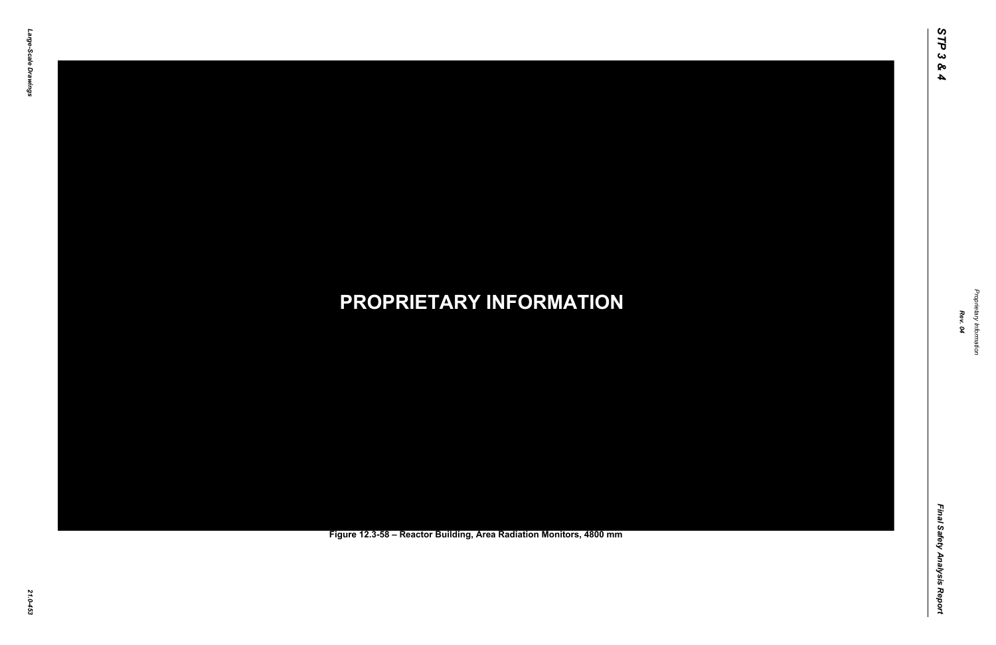Final Safety Analysis Report *Final Safety Analysis Report*



Proprietary Information *Proprietary Information*

### *21.0-453* **PROPRIETARY INFORMATION Figure 12.3-58 – Reactor Building, Area Radiation Monitors, 4800 mm**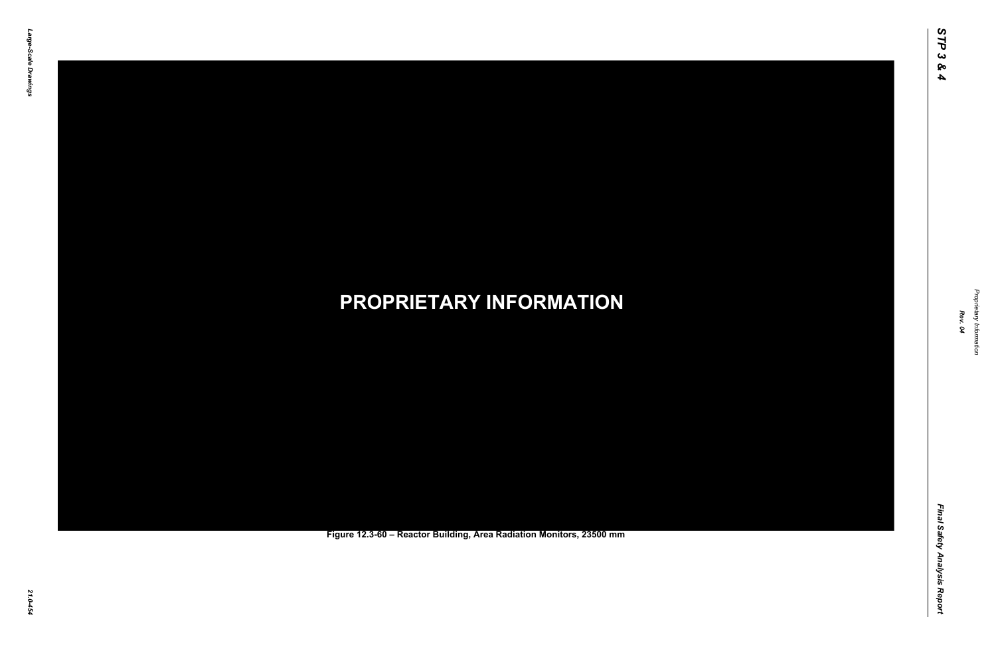Final Safety Analysis Report *Final Safety Analysis Report*



Proprietary Information *Proprietary Information*

### *21.0-454* **PROPRIETARY INFORMATION Figure 12.3-60 – Reactor Building, Area Radiation Monitors, 23500 mm**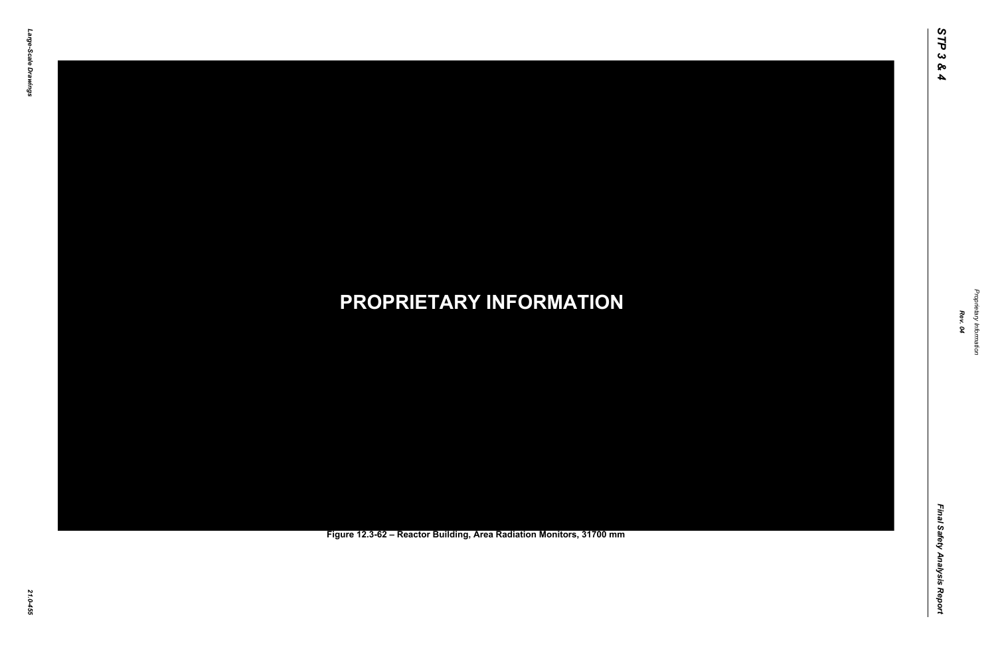Final Safety Analysis Report *Final Safety Analysis Report*



Proprietary Information *Proprietary Information*

### *21.0-455* **PROPRIETARY INFORMATION Figure 12.3-62 – Reactor Building, Area Radiation Monitors, 31700 mm**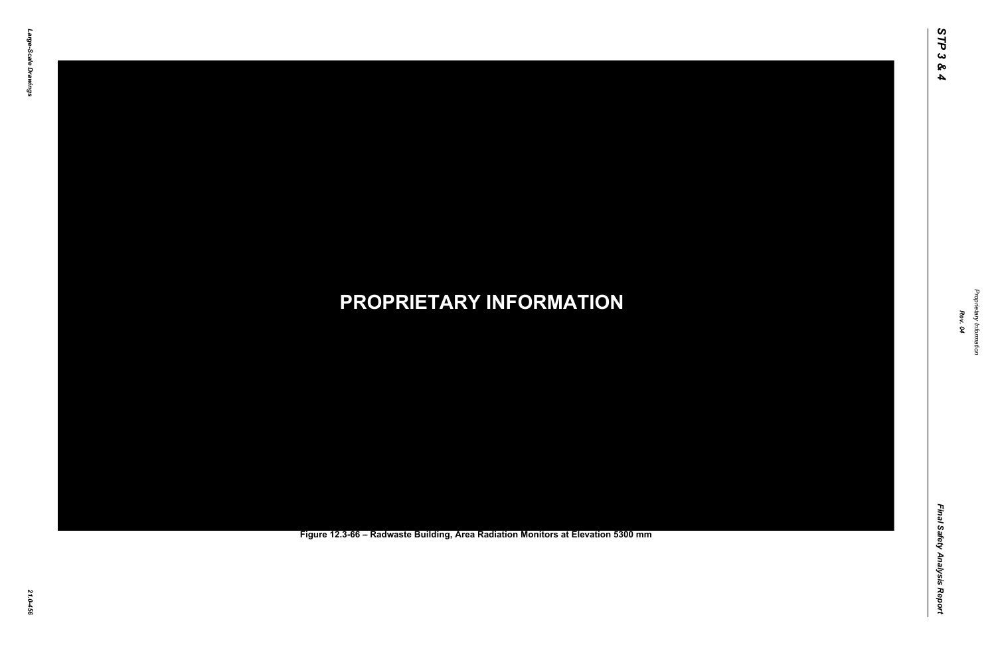Final Safety Analysis Report *Final Safety Analysis Report*



Proprietary Information *Proprietary Information*

### *21.0-456* **PROPRIETARY INFORMATION Figure 12.3-66 – Radwaste Building, Area Radiation Monitors at Elevation 5300 mm**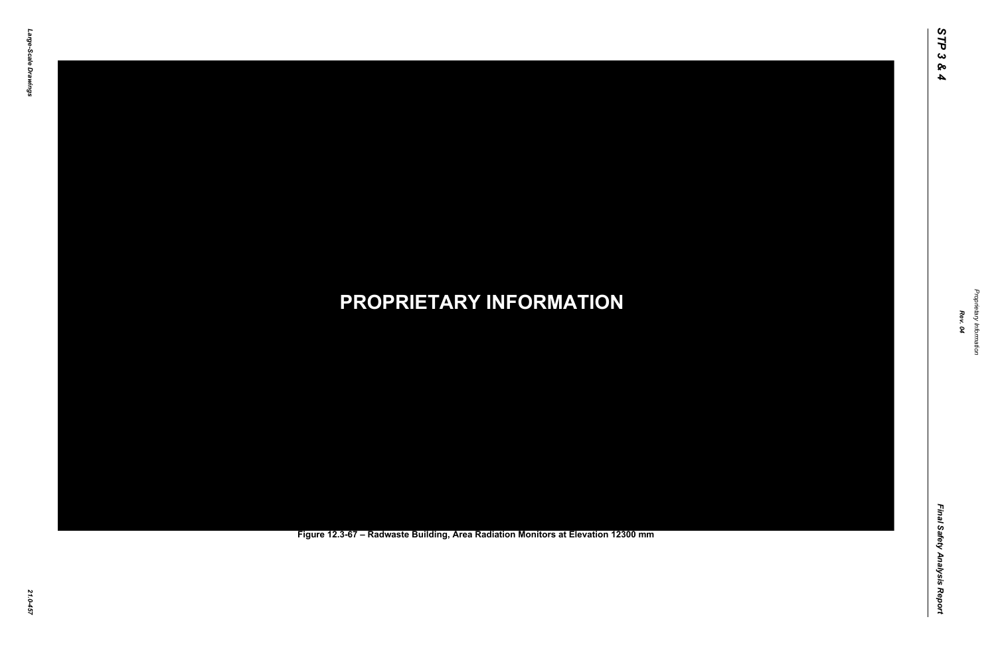Final Safety Analysis Report *Final Safety Analysis Report*



Proprietary Information *Proprietary Information*

### *21.0-457* **PROPRIETARY INFORMATION Figure 12.3-67 – Radwaste Building, Area Radiation Monitors at Elevation 12300 mm**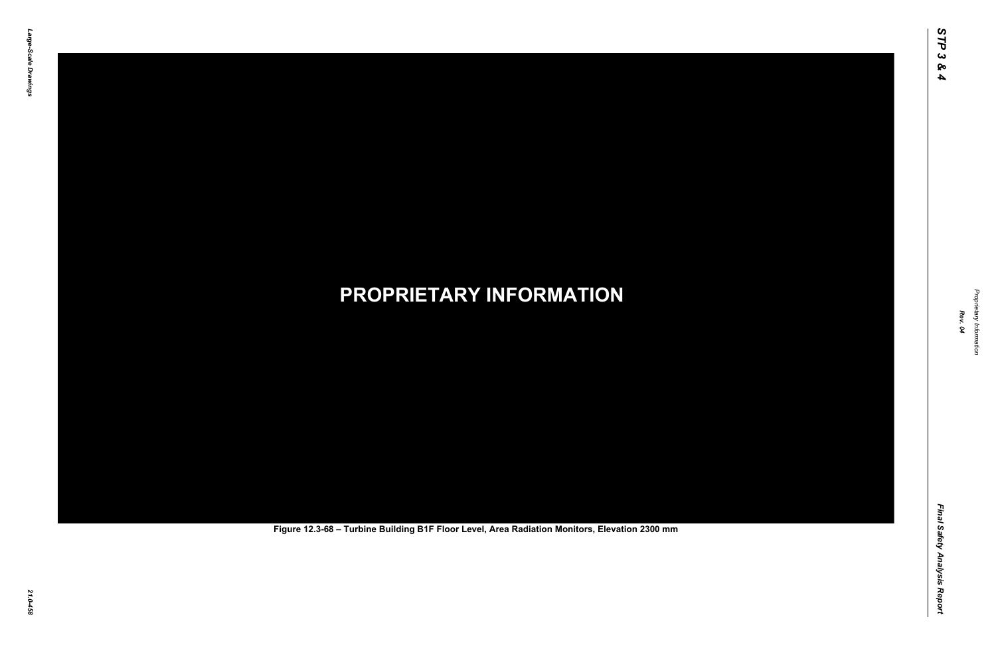Final Safety Analysis Report *Final Safety Analysis Report*



Proprietary Information *Proprietary Information*

# *21.0-458* **PROPRIETARY INFORMATION Figure 12.3-68 – Turbine Building B1F Floor Level, Area Radiation Monitors, Elevation 2300 mm**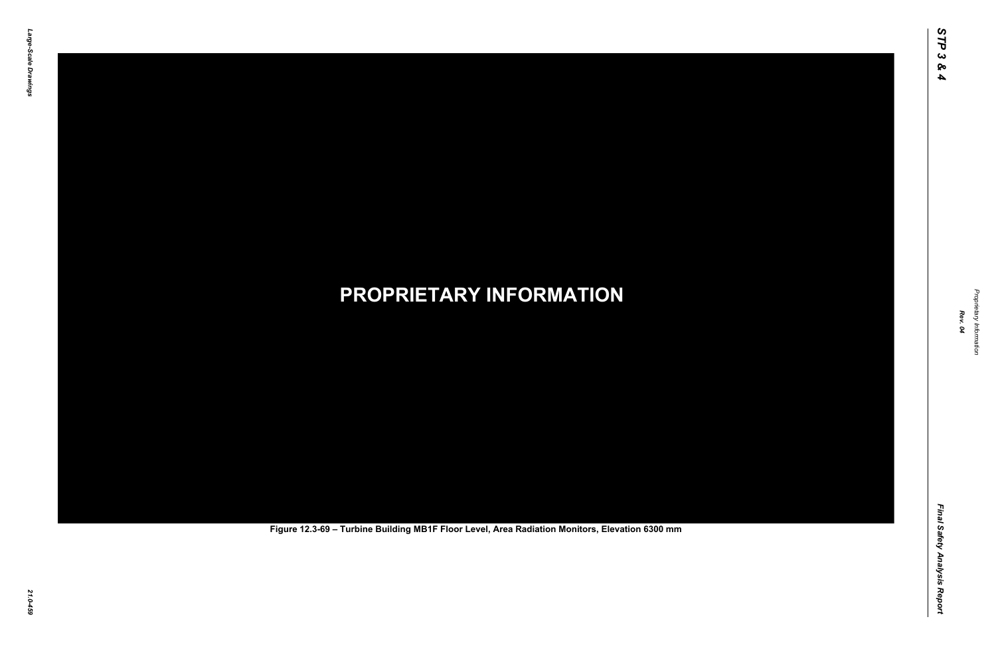Final Safety Analysis Report *Final Safety Analysis Report*



Proprietary Information *Proprietary Information*

# *21.0-459* **PROPRIETARY INFORMATION Figure 12.3-69 – Turbine Building MB1F Floor Level, Area Radiation Monitors, Elevation 6300 mm**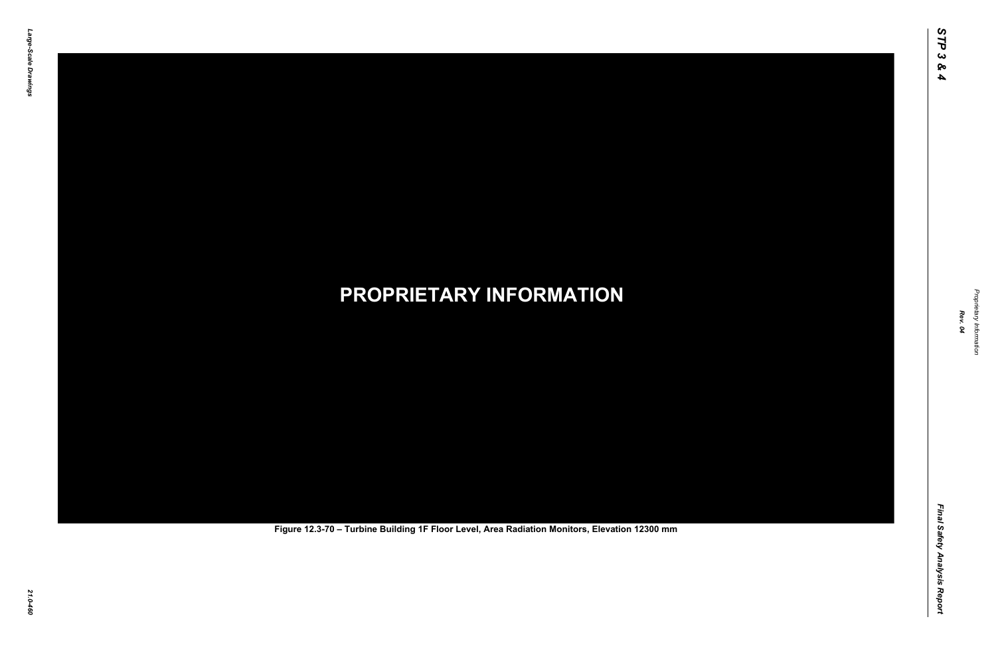Final Safety Analysis Report *Final Safety Analysis Report*



Proprietary Information *Proprietary Information*

# *21.0-460* **PROPRIETARY INFORMATION Figure 12.3-70 – Turbine Building 1F Floor Level, Area Radiation Monitors, Elevation 12300 mm**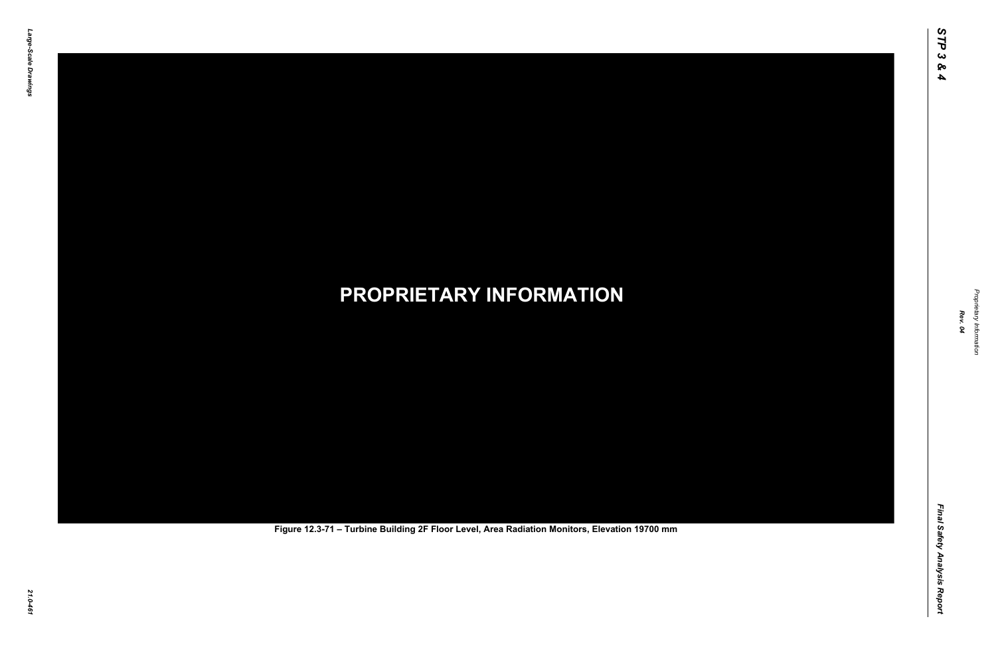Final Safety Analysis Report *Final Safety Analysis Report*



Proprietary Information *Proprietary Information*

# *21.0-461* **PROPRIETARY INFORMATION Figure 12.3-71 – Turbine Building 2F Floor Level, Area Radiation Monitors, Elevation 19700 mm**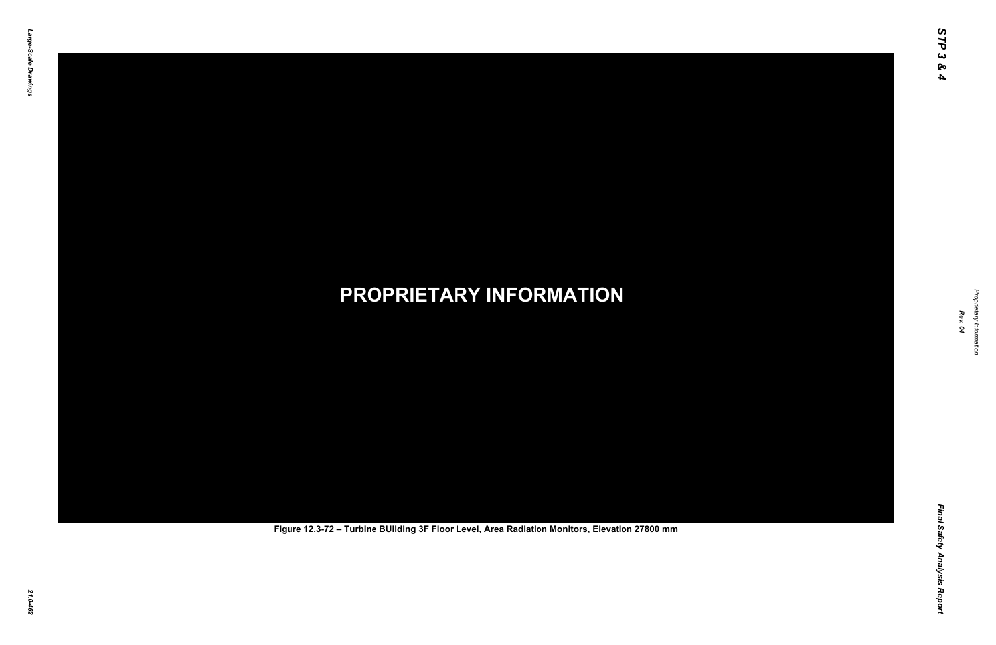Final Safety Analysis Report *Final Safety Analysis Report*



Proprietary Information *Proprietary Information*

# *21.0-462* **PROPRIETARY INFORMATION Figure 12.3-72 – Turbine BUilding 3F Floor Level, Area Radiation Monitors, Elevation 27800 mm**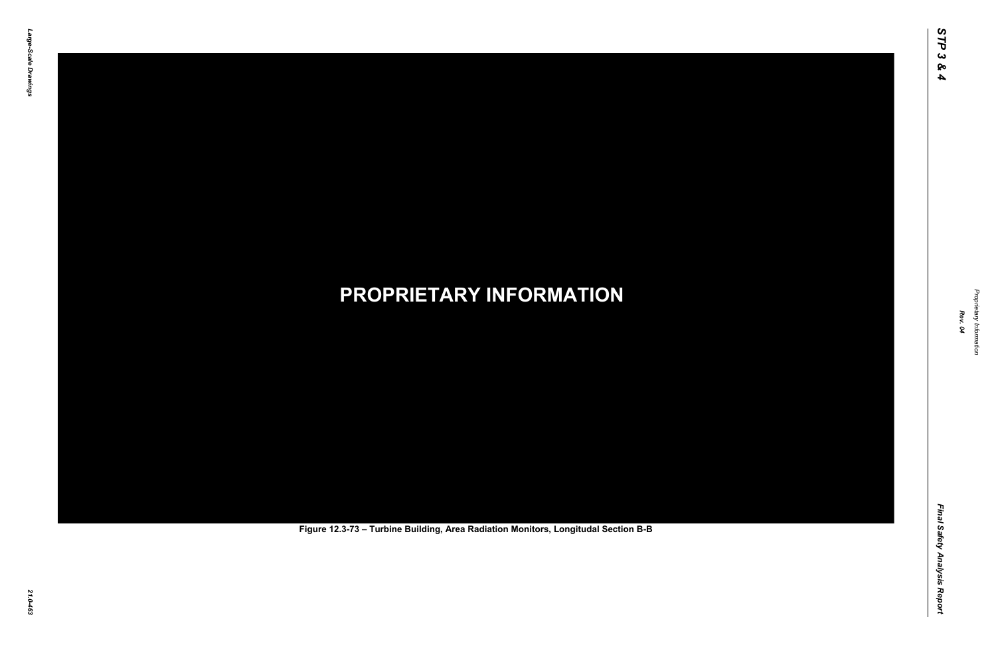Final Safety Analysis Report *Final Safety Analysis Report*



Proprietary Information *Proprietary Information*

# *21.0-463* **PROPRIETARY INFORMATION Figure 12.3-73 – Turbine Building, Area Radiation Monitors, Longitudal Section B-B**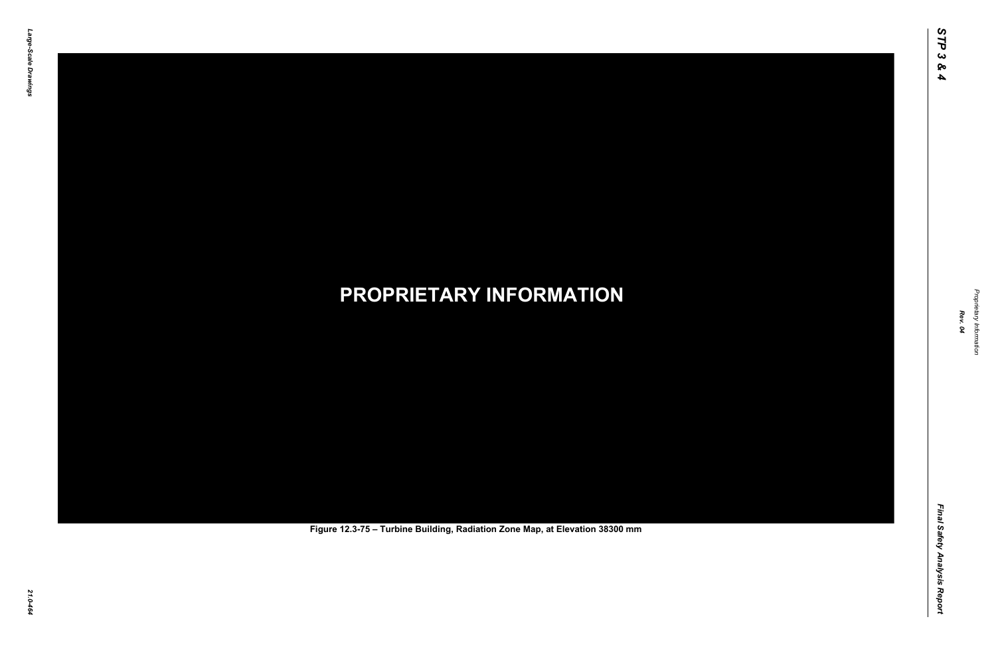Final Safety Analysis Report *Final Safety Analysis Report*



Proprietary Information *Proprietary Information*

# *21.0-464* **PROPRIETARY INFORMATION Figure 12.3-75 – Turbine Building, Radiation Zone Map, at Elevation 38300 mm**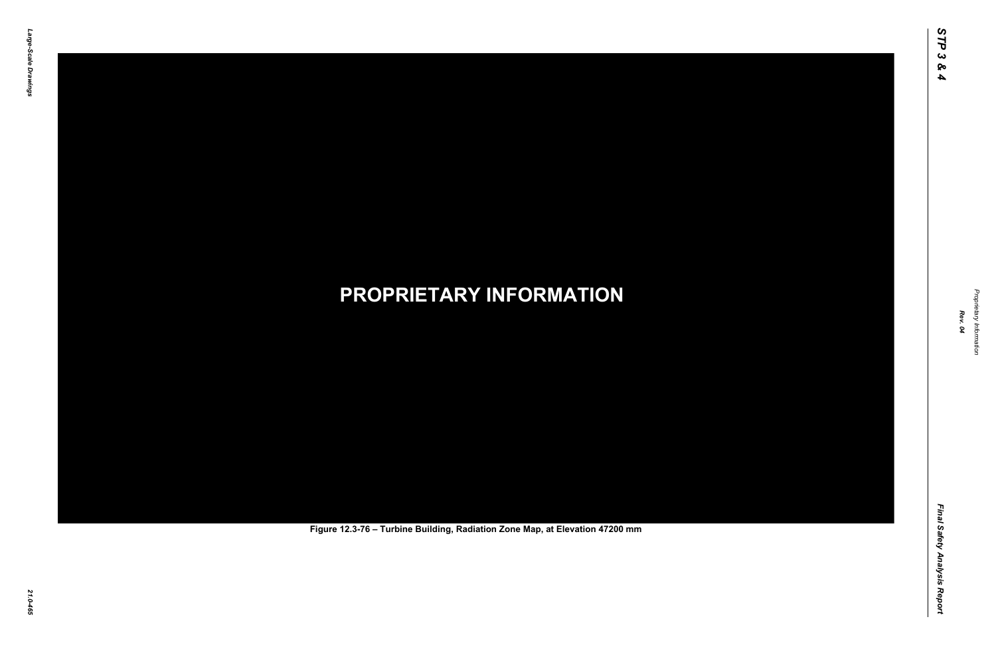Final Safety Analysis Report *Final Safety Analysis Report*



Proprietary Information *Proprietary Information*

# *21.0-465* **PROPRIETARY INFORMATION Figure 12.3-76 – Turbine Building, Radiation Zone Map, at Elevation 47200 mm**